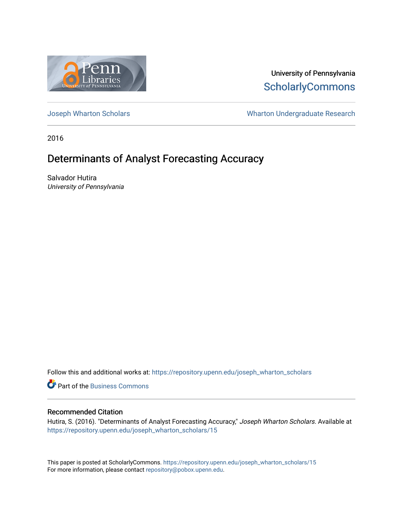

University of Pennsylvania **ScholarlyCommons** 

[Joseph Wharton Scholars](https://repository.upenn.edu/joseph_wharton_scholars) **Wharton Undergraduate Research** 

2016

# Determinants of Analyst Forecasting Accuracy

Salvador Hutira University of Pennsylvania

Follow this and additional works at: [https://repository.upenn.edu/joseph\\_wharton\\_scholars](https://repository.upenn.edu/joseph_wharton_scholars?utm_source=repository.upenn.edu%2Fjoseph_wharton_scholars%2F15&utm_medium=PDF&utm_campaign=PDFCoverPages) 

**C** Part of the [Business Commons](http://network.bepress.com/hgg/discipline/622?utm_source=repository.upenn.edu%2Fjoseph_wharton_scholars%2F15&utm_medium=PDF&utm_campaign=PDFCoverPages)

# Recommended Citation

Hutira, S. (2016). "Determinants of Analyst Forecasting Accuracy," Joseph Wharton Scholars. Available at [https://repository.upenn.edu/joseph\\_wharton\\_scholars/15](https://repository.upenn.edu/joseph_wharton_scholars/15?utm_source=repository.upenn.edu%2Fjoseph_wharton_scholars%2F15&utm_medium=PDF&utm_campaign=PDFCoverPages)

This paper is posted at ScholarlyCommons. [https://repository.upenn.edu/joseph\\_wharton\\_scholars/15](https://repository.upenn.edu/joseph_wharton_scholars/15)  For more information, please contact [repository@pobox.upenn.edu.](mailto:repository@pobox.upenn.edu)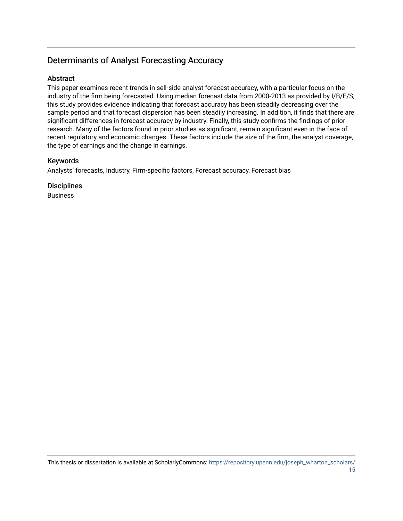# Determinants of Analyst Forecasting Accuracy

# **Abstract**

This paper examines recent trends in sell-side analyst forecast accuracy, with a particular focus on the industry of the firm being forecasted. Using median forecast data from 2000-2013 as provided by I/B/E/S, this study provides evidence indicating that forecast accuracy has been steadily decreasing over the sample period and that forecast dispersion has been steadily increasing. In addition, it finds that there are significant differences in forecast accuracy by industry. Finally, this study confirms the findings of prior research. Many of the factors found in prior studies as significant, remain significant even in the face of recent regulatory and economic changes. These factors include the size of the firm, the analyst coverage, the type of earnings and the change in earnings.

# Keywords

Analysts' forecasts, Industry, Firm-specific factors, Forecast accuracy, Forecast bias

**Disciplines** Business

This thesis or dissertation is available at ScholarlyCommons: [https://repository.upenn.edu/joseph\\_wharton\\_scholars/](https://repository.upenn.edu/joseph_wharton_scholars/15) [15](https://repository.upenn.edu/joseph_wharton_scholars/15)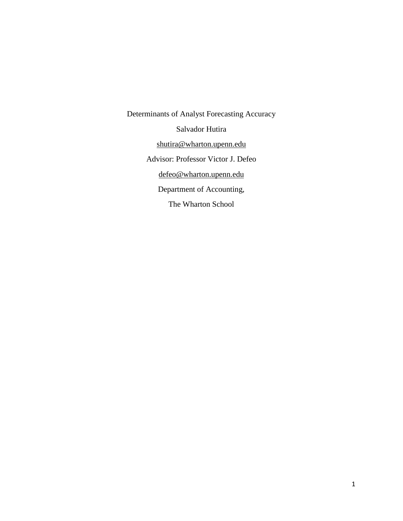Determinants of Analyst Forecasting Accuracy Salvador Hutira [shutira@wharton.upenn.edu](mailto:shutira@wharton.upenn.edu) Advisor: Professor Victor J. Defeo [defeo@wharton.upenn.edu](mailto:defeo@wharton.upenn.edu) Department of Accounting, The Wharton School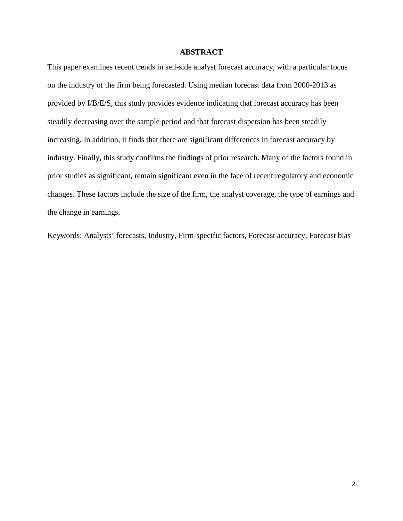# **ABSTRACT**

This paper examines recent trends in sell-side analyst forecast accuracy, with a particular focus on the industry of the firm being forecasted. Using median forecast data from 2000-2013 as provided by I/B/E/S, this study provides evidence indicating that forecast accuracy has been steadily decreasing over the sample period and that forecast dispersion has been steadily increasing. In addition, it finds that there are significant differences in forecast accuracy by industry. Finally, this study confirms the findings of prior research. Many of the factors found in prior studies as significant, remain significant even in the face of recent regulatory and economic changes. These factors include the size of the firm, the analyst coverage, the type of earnings and the change in earnings.

Keywords: Analysts' forecasts, Industry, Firm-specific factors, Forecast accuracy, Forecast bias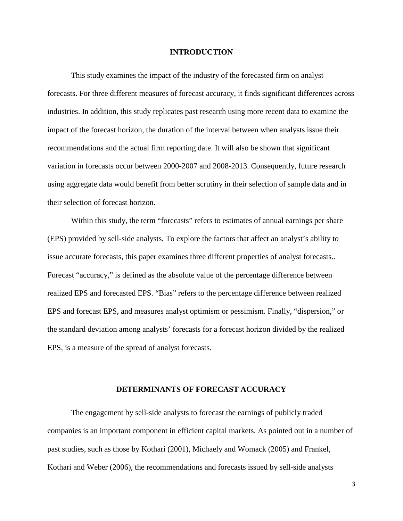#### **INTRODUCTION**

This study examines the impact of the industry of the forecasted firm on analyst forecasts. For three different measures of forecast accuracy, it finds significant differences across industries. In addition, this study replicates past research using more recent data to examine the impact of the forecast horizon, the duration of the interval between when analysts issue their recommendations and the actual firm reporting date. It will also be shown that significant variation in forecasts occur between 2000-2007 and 2008-2013. Consequently, future research using aggregate data would benefit from better scrutiny in their selection of sample data and in their selection of forecast horizon.

Within this study, the term "forecasts" refers to estimates of annual earnings per share (EPS) provided by sell-side analysts. To explore the factors that affect an analyst's ability to issue accurate forecasts, this paper examines three different properties of analyst forecasts.. Forecast "accuracy," is defined as the absolute value of the percentage difference between realized EPS and forecasted EPS. "Bias" refers to the percentage difference between realized EPS and forecast EPS, and measures analyst optimism or pessimism. Finally, "dispersion," or the standard deviation among analysts' forecasts for a forecast horizon divided by the realized EPS, is a measure of the spread of analyst forecasts.

#### **DETERMINANTS OF FORECAST ACCURACY**

The engagement by sell-side analysts to forecast the earnings of publicly traded companies is an important component in efficient capital markets. As pointed out in a number of past studies, such as those by Kothari (2001), Michaely and Womack (2005) and Frankel, Kothari and Weber (2006), the recommendations and forecasts issued by sell-side analysts

3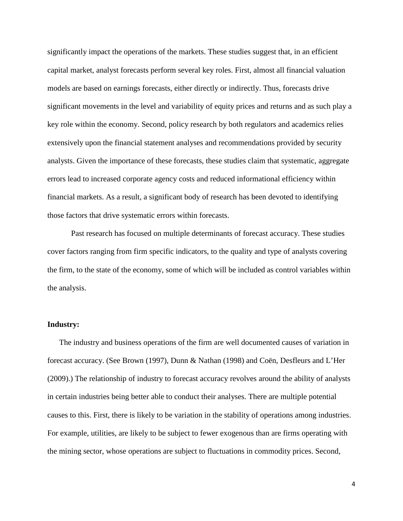significantly impact the operations of the markets. These studies suggest that, in an efficient capital market, analyst forecasts perform several key roles. First, almost all financial valuation models are based on earnings forecasts, either directly or indirectly. Thus, forecasts drive significant movements in the level and variability of equity prices and returns and as such play a key role within the economy. Second, policy research by both regulators and academics relies extensively upon the financial statement analyses and recommendations provided by security analysts. Given the importance of these forecasts, these studies claim that systematic, aggregate errors lead to increased corporate agency costs and reduced informational efficiency within financial markets. As a result, a significant body of research has been devoted to identifying those factors that drive systematic errors within forecasts.

Past research has focused on multiple determinants of forecast accuracy. These studies cover factors ranging from firm specific indicators, to the quality and type of analysts covering the firm, to the state of the economy, some of which will be included as control variables within the analysis.

#### **Industry:**

The industry and business operations of the firm are well documented causes of variation in forecast accuracy. (See Brown (1997), Dunn & Nathan (1998) and Coën, Desfleurs and L'Her (2009).) The relationship of industry to forecast accuracy revolves around the ability of analysts in certain industries being better able to conduct their analyses. There are multiple potential causes to this. First, there is likely to be variation in the stability of operations among industries. For example, utilities, are likely to be subject to fewer exogenous than are firms operating with the mining sector, whose operations are subject to fluctuations in commodity prices. Second,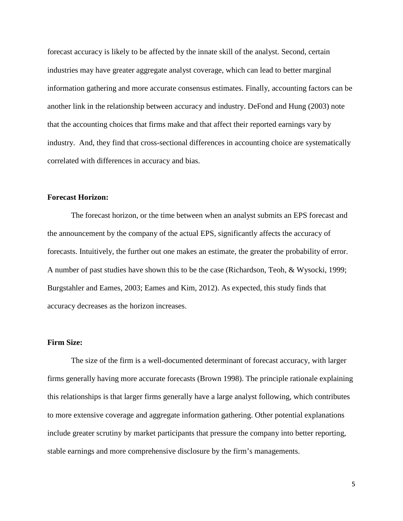forecast accuracy is likely to be affected by the innate skill of the analyst. Second, certain industries may have greater aggregate analyst coverage, which can lead to better marginal information gathering and more accurate consensus estimates. Finally, accounting factors can be another link in the relationship between accuracy and industry. DeFond and Hung (2003) note that the accounting choices that firms make and that affect their reported earnings vary by industry. And, they find that cross-sectional differences in accounting choice are systematically correlated with differences in accuracy and bias.

## **Forecast Horizon:**

The forecast horizon, or the time between when an analyst submits an EPS forecast and the announcement by the company of the actual EPS, significantly affects the accuracy of forecasts. Intuitively, the further out one makes an estimate, the greater the probability of error. A number of past studies have shown this to be the case (Richardson, Teoh, & Wysocki, 1999; Burgstahler and Eames, 2003; Eames and Kim, 2012). As expected, this study finds that accuracy decreases as the horizon increases.

## **Firm Size:**

The size of the firm is a well-documented determinant of forecast accuracy, with larger firms generally having more accurate forecasts (Brown 1998). The principle rationale explaining this relationships is that larger firms generally have a large analyst following, which contributes to more extensive coverage and aggregate information gathering. Other potential explanations include greater scrutiny by market participants that pressure the company into better reporting, stable earnings and more comprehensive disclosure by the firm's managements.

5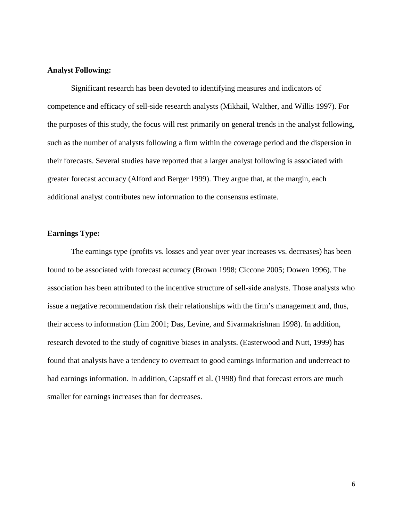# **Analyst Following:**

Significant research has been devoted to identifying measures and indicators of competence and efficacy of sell-side research analysts (Mikhail, Walther, and Willis 1997). For the purposes of this study, the focus will rest primarily on general trends in the analyst following, such as the number of analysts following a firm within the coverage period and the dispersion in their forecasts. Several studies have reported that a larger analyst following is associated with greater forecast accuracy (Alford and Berger 1999). They argue that, at the margin, each additional analyst contributes new information to the consensus estimate.

# **Earnings Type:**

The earnings type (profits vs. losses and year over year increases vs. decreases) has been found to be associated with forecast accuracy (Brown 1998; Ciccone 2005; Dowen 1996). The association has been attributed to the incentive structure of sell-side analysts. Those analysts who issue a negative recommendation risk their relationships with the firm's management and, thus, their access to information (Lim 2001; Das, Levine, and Sivarmakrishnan 1998). In addition, research devoted to the study of cognitive biases in analysts. (Easterwood and Nutt, 1999) has found that analysts have a tendency to overreact to good earnings information and underreact to bad earnings information. In addition, Capstaff et al. (1998) find that forecast errors are much smaller for earnings increases than for decreases.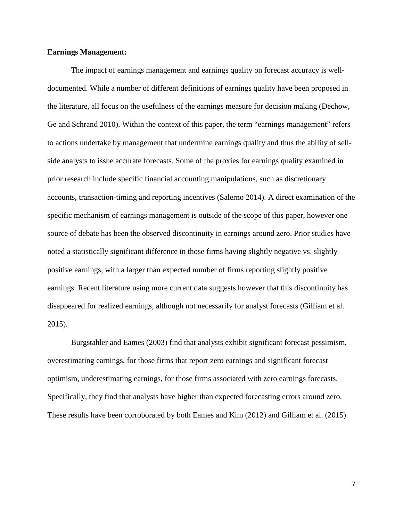# **Earnings Management:**

The impact of earnings management and earnings quality on forecast accuracy is welldocumented. While a number of different definitions of earnings quality have been proposed in the literature, all focus on the usefulness of the earnings measure for decision making (Dechow, Ge and Schrand 2010). Within the context of this paper, the term "earnings management" refers to actions undertake by management that undermine earnings quality and thus the ability of sellside analysts to issue accurate forecasts. Some of the proxies for earnings quality examined in prior research include specific financial accounting manipulations, such as discretionary accounts, transaction-timing and reporting incentives (Salerno 2014). A direct examination of the specific mechanism of earnings management is outside of the scope of this paper, however one source of debate has been the observed discontinuity in earnings around zero. Prior studies have noted a statistically significant difference in those firms having slightly negative vs. slightly positive earnings, with a larger than expected number of firms reporting slightly positive earnings. Recent literature using more current data suggests however that this discontinuity has disappeared for realized earnings, although not necessarily for analyst forecasts (Gilliam et al. 2015).

Burgstahler and Eames (2003) find that analysts exhibit significant forecast pessimism, overestimating earnings, for those firms that report zero earnings and significant forecast optimism, underestimating earnings, for those firms associated with zero earnings forecasts. Specifically, they find that analysts have higher than expected forecasting errors around zero. These results have been corroborated by both Eames and Kim (2012) and Gilliam et al. (2015).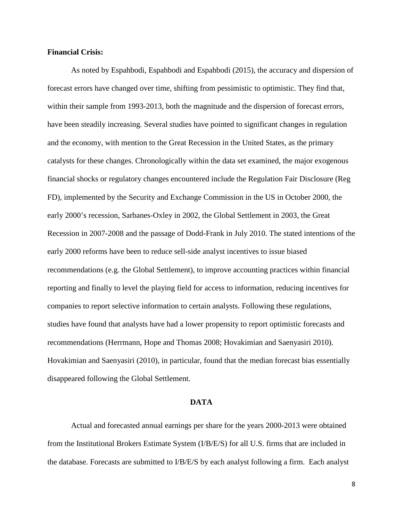## **Financial Crisis:**

As noted by Espahbodi, Espahbodi and Espahbodi (2015), the accuracy and dispersion of forecast errors have changed over time, shifting from pessimistic to optimistic. They find that, within their sample from 1993-2013, both the magnitude and the dispersion of forecast errors, have been steadily increasing. Several studies have pointed to significant changes in regulation and the economy, with mention to the Great Recession in the United States, as the primary catalysts for these changes. Chronologically within the data set examined, the major exogenous financial shocks or regulatory changes encountered include the Regulation Fair Disclosure (Reg FD), implemented by the Security and Exchange Commission in the US in October 2000, the early 2000's recession, Sarbanes-Oxley in 2002, the Global Settlement in 2003, the Great Recession in 2007-2008 and the passage of Dodd-Frank in July 2010. The stated intentions of the early 2000 reforms have been to reduce sell-side analyst incentives to issue biased recommendations (e.g. the Global Settlement), to improve accounting practices within financial reporting and finally to level the playing field for access to information, reducing incentives for companies to report selective information to certain analysts. Following these regulations, studies have found that analysts have had a lower propensity to report optimistic forecasts and recommendations (Herrmann, Hope and Thomas 2008; Hovakimian and Saenyasiri 2010). Hovakimian and Saenyasiri (2010), in particular, found that the median forecast bias essentially disappeared following the Global Settlement.

#### **DATA**

Actual and forecasted annual earnings per share for the years 2000-2013 were obtained from the Institutional Brokers Estimate System (I/B/E/S) for all U.S. firms that are included in the database. Forecasts are submitted to I/B/E/S by each analyst following a firm. Each analyst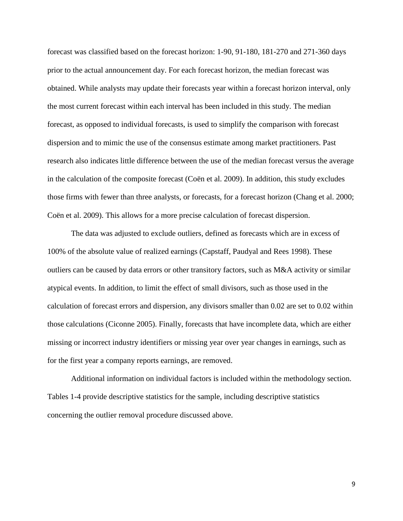forecast was classified based on the forecast horizon: 1-90, 91-180, 181-270 and 271-360 days prior to the actual announcement day. For each forecast horizon, the median forecast was obtained. While analysts may update their forecasts year within a forecast horizon interval, only the most current forecast within each interval has been included in this study. The median forecast, as opposed to individual forecasts, is used to simplify the comparison with forecast dispersion and to mimic the use of the consensus estimate among market practitioners. Past research also indicates little difference between the use of the median forecast versus the average in the calculation of the composite forecast (Coën et al. 2009). In addition, this study excludes those firms with fewer than three analysts, or forecasts, for a forecast horizon (Chang et al. 2000; Coën et al. 2009). This allows for a more precise calculation of forecast dispersion.

The data was adjusted to exclude outliers, defined as forecasts which are in excess of 100% of the absolute value of realized earnings (Capstaff, Paudyal and Rees 1998). These outliers can be caused by data errors or other transitory factors, such as M&A activity or similar atypical events. In addition, to limit the effect of small divisors, such as those used in the calculation of forecast errors and dispersion, any divisors smaller than 0.02 are set to 0.02 within those calculations (Ciconne 2005). Finally, forecasts that have incomplete data, which are either missing or incorrect industry identifiers or missing year over year changes in earnings, such as for the first year a company reports earnings, are removed.

Additional information on individual factors is included within the methodology section. Tables 1-4 provide descriptive statistics for the sample, including descriptive statistics concerning the outlier removal procedure discussed above.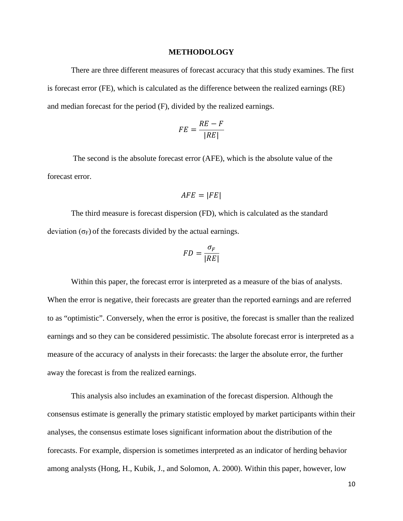#### **METHODOLOGY**

There are three different measures of forecast accuracy that this study examines. The first is forecast error (FE), which is calculated as the difference between the realized earnings (RE) and median forecast for the period (F), divided by the realized earnings.

$$
FE = \frac{RE - F}{|RE|}
$$

The second is the absolute forecast error (AFE), which is the absolute value of the forecast error.

$$
AFE = |FE|
$$

The third measure is forecast dispersion (FD), which is calculated as the standard deviation  $(\sigma_F)$  of the forecasts divided by the actual earnings.

$$
FD = \frac{\sigma_F}{|RE|}
$$

Within this paper, the forecast error is interpreted as a measure of the bias of analysts. When the error is negative, their forecasts are greater than the reported earnings and are referred to as "optimistic". Conversely, when the error is positive, the forecast is smaller than the realized earnings and so they can be considered pessimistic. The absolute forecast error is interpreted as a measure of the accuracy of analysts in their forecasts: the larger the absolute error, the further away the forecast is from the realized earnings.

This analysis also includes an examination of the forecast dispersion. Although the consensus estimate is generally the primary statistic employed by market participants within their analyses, the consensus estimate loses significant information about the distribution of the forecasts. For example, dispersion is sometimes interpreted as an indicator of herding behavior among analysts (Hong, H., Kubik, J., and Solomon, A. 2000). Within this paper, however, low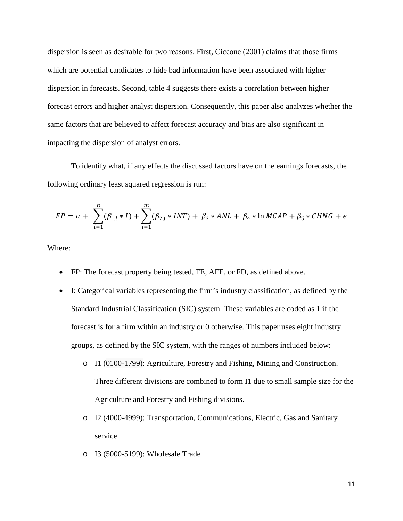dispersion is seen as desirable for two reasons. First, Ciccone (2001) claims that those firms which are potential candidates to hide bad information have been associated with higher dispersion in forecasts. Second, table 4 suggests there exists a correlation between higher forecast errors and higher analyst dispersion. Consequently, this paper also analyzes whether the same factors that are believed to affect forecast accuracy and bias are also significant in impacting the dispersion of analyst errors.

To identify what, if any effects the discussed factors have on the earnings forecasts, the following ordinary least squared regression is run:

$$
FP = \alpha + \sum_{i=1}^{n} (\beta_{1,i} * I) + \sum_{i=1}^{m} (\beta_{2,i} * INT) + \beta_3 * ANL + \beta_4 * \ln MCAP + \beta_5 * CHNG + e
$$

Where:

- FP: The forecast property being tested, FE, AFE, or FD, as defined above.
- I: Categorical variables representing the firm's industry classification, as defined by the Standard Industrial Classification (SIC) system. These variables are coded as 1 if the forecast is for a firm within an industry or 0 otherwise. This paper uses eight industry groups, as defined by the SIC system, with the ranges of numbers included below:
	- o I1 (0100-1799): Agriculture, Forestry and Fishing, Mining and Construction. Three different divisions are combined to form I1 due to small sample size for the Agriculture and Forestry and Fishing divisions.
	- o I2 (4000-4999): Transportation, Communications, Electric, Gas and Sanitary service
	- o I3 (5000-5199): Wholesale Trade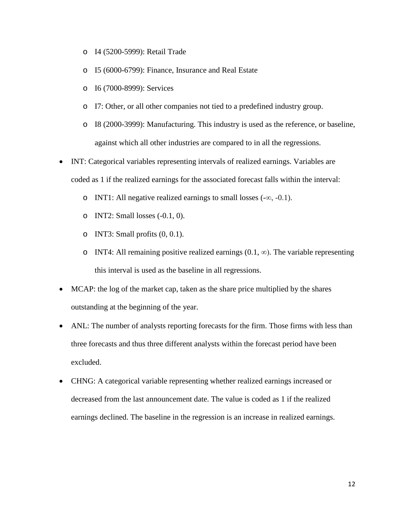- o I4 (5200-5999): Retail Trade
- o I5 (6000-6799): Finance, Insurance and Real Estate
- o I6 (7000-8999): Services
- o I7: Other, or all other companies not tied to a predefined industry group.
- o I8 (2000-3999): Manufacturing. This industry is used as the reference, or baseline, against which all other industries are compared to in all the regressions.
- INT: Categorical variables representing intervals of realized earnings. Variables are coded as 1 if the realized earnings for the associated forecast falls within the interval:
	- o INT1: All negative realized earnings to small losses (-∞, -0.1).
	- o INT2: Small losses (-0.1, 0).
	- o INT3: Small profits  $(0, 0.1)$ .
	- o INT4: All remaining positive realized earnings  $(0.1, \infty)$ . The variable representing this interval is used as the baseline in all regressions.
- MCAP: the log of the market cap, taken as the share price multiplied by the shares outstanding at the beginning of the year.
- ANL: The number of analysts reporting forecasts for the firm. Those firms with less than three forecasts and thus three different analysts within the forecast period have been excluded.
- CHNG: A categorical variable representing whether realized earnings increased or decreased from the last announcement date. The value is coded as 1 if the realized earnings declined. The baseline in the regression is an increase in realized earnings.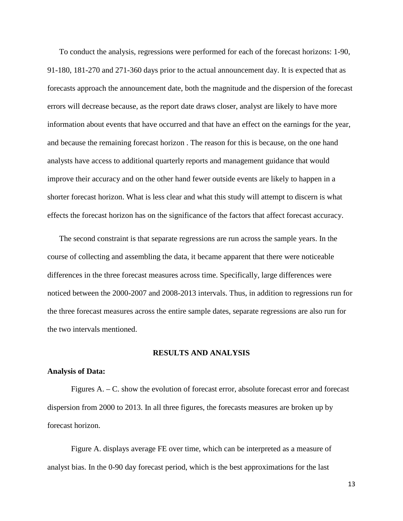To conduct the analysis, regressions were performed for each of the forecast horizons: 1-90, 91-180, 181-270 and 271-360 days prior to the actual announcement day. It is expected that as forecasts approach the announcement date, both the magnitude and the dispersion of the forecast errors will decrease because, as the report date draws closer, analyst are likely to have more information about events that have occurred and that have an effect on the earnings for the year, and because the remaining forecast horizon . The reason for this is because, on the one hand analysts have access to additional quarterly reports and management guidance that would improve their accuracy and on the other hand fewer outside events are likely to happen in a shorter forecast horizon. What is less clear and what this study will attempt to discern is what effects the forecast horizon has on the significance of the factors that affect forecast accuracy.

The second constraint is that separate regressions are run across the sample years. In the course of collecting and assembling the data, it became apparent that there were noticeable differences in the three forecast measures across time. Specifically, large differences were noticed between the 2000-2007 and 2008-2013 intervals. Thus, in addition to regressions run for the three forecast measures across the entire sample dates, separate regressions are also run for the two intervals mentioned.

#### **RESULTS AND ANALYSIS**

#### **Analysis of Data:**

Figures A. – C. show the evolution of forecast error, absolute forecast error and forecast dispersion from 2000 to 2013. In all three figures, the forecasts measures are broken up by forecast horizon.

Figure A. displays average FE over time, which can be interpreted as a measure of analyst bias. In the 0-90 day forecast period, which is the best approximations for the last

13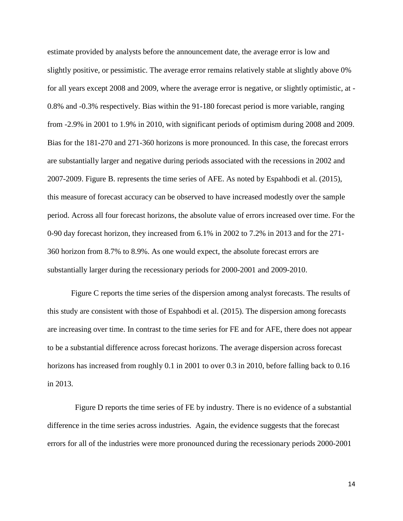estimate provided by analysts before the announcement date, the average error is low and slightly positive, or pessimistic. The average error remains relatively stable at slightly above 0% for all years except 2008 and 2009, where the average error is negative, or slightly optimistic, at - 0.8% and -0.3% respectively. Bias within the 91-180 forecast period is more variable, ranging from -2.9% in 2001 to 1.9% in 2010, with significant periods of optimism during 2008 and 2009. Bias for the 181-270 and 271-360 horizons is more pronounced. In this case, the forecast errors are substantially larger and negative during periods associated with the recessions in 2002 and 2007-2009. Figure B. represents the time series of AFE. As noted by Espahbodi et al. (2015), this measure of forecast accuracy can be observed to have increased modestly over the sample period. Across all four forecast horizons, the absolute value of errors increased over time. For the 0-90 day forecast horizon, they increased from 6.1% in 2002 to 7.2% in 2013 and for the 271- 360 horizon from 8.7% to 8.9%. As one would expect, the absolute forecast errors are substantially larger during the recessionary periods for 2000-2001 and 2009-2010.

Figure C reports the time series of the dispersion among analyst forecasts. The results of this study are consistent with those of Espahbodi et al. (2015). The dispersion among forecasts are increasing over time. In contrast to the time series for FE and for AFE, there does not appear to be a substantial difference across forecast horizons. The average dispersion across forecast horizons has increased from roughly 0.1 in 2001 to over 0.3 in 2010, before falling back to 0.16 in 2013.

 Figure D reports the time series of FE by industry. There is no evidence of a substantial difference in the time series across industries. Again, the evidence suggests that the forecast errors for all of the industries were more pronounced during the recessionary periods 2000-2001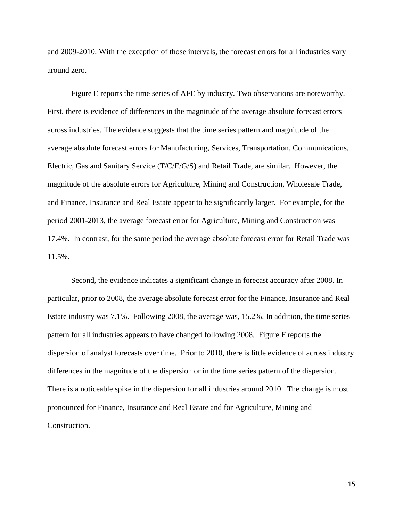and 2009-2010. With the exception of those intervals, the forecast errors for all industries vary around zero.

Figure E reports the time series of AFE by industry. Two observations are noteworthy. First, there is evidence of differences in the magnitude of the average absolute forecast errors across industries. The evidence suggests that the time series pattern and magnitude of the average absolute forecast errors for Manufacturing, Services, Transportation, Communications, Electric, Gas and Sanitary Service (T/C/E/G/S) and Retail Trade, are similar. However, the magnitude of the absolute errors for Agriculture, Mining and Construction, Wholesale Trade, and Finance, Insurance and Real Estate appear to be significantly larger. For example, for the period 2001-2013, the average forecast error for Agriculture, Mining and Construction was 17.4%. In contrast, for the same period the average absolute forecast error for Retail Trade was 11.5%.

Second, the evidence indicates a significant change in forecast accuracy after 2008. In particular, prior to 2008, the average absolute forecast error for the Finance, Insurance and Real Estate industry was 7.1%. Following 2008, the average was, 15.2%. In addition, the time series pattern for all industries appears to have changed following 2008. Figure F reports the dispersion of analyst forecasts over time. Prior to 2010, there is little evidence of across industry differences in the magnitude of the dispersion or in the time series pattern of the dispersion. There is a noticeable spike in the dispersion for all industries around 2010. The change is most pronounced for Finance, Insurance and Real Estate and for Agriculture, Mining and Construction.

15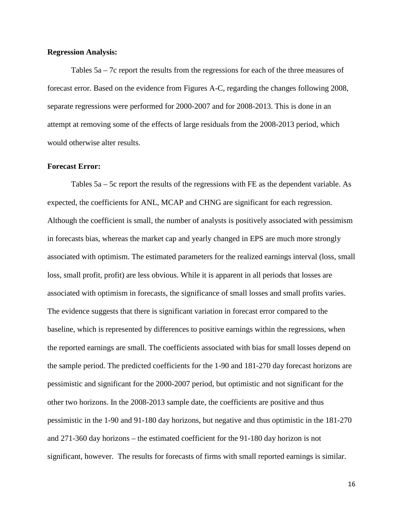# **Regression Analysis:**

Tables 5a – 7c report the results from the regressions for each of the three measures of forecast error. Based on the evidence from Figures A-C, regarding the changes following 2008, separate regressions were performed for 2000-2007 and for 2008-2013. This is done in an attempt at removing some of the effects of large residuals from the 2008-2013 period, which would otherwise alter results.

## **Forecast Error:**

Tables 5a – 5c report the results of the regressions with FE as the dependent variable. As expected, the coefficients for ANL, MCAP and CHNG are significant for each regression. Although the coefficient is small, the number of analysts is positively associated with pessimism in forecasts bias, whereas the market cap and yearly changed in EPS are much more strongly associated with optimism. The estimated parameters for the realized earnings interval (loss, small loss, small profit, profit) are less obvious. While it is apparent in all periods that losses are associated with optimism in forecasts, the significance of small losses and small profits varies. The evidence suggests that there is significant variation in forecast error compared to the baseline, which is represented by differences to positive earnings within the regressions, when the reported earnings are small. The coefficients associated with bias for small losses depend on the sample period. The predicted coefficients for the 1-90 and 181-270 day forecast horizons are pessimistic and significant for the 2000-2007 period, but optimistic and not significant for the other two horizons. In the 2008-2013 sample date, the coefficients are positive and thus pessimistic in the 1-90 and 91-180 day horizons, but negative and thus optimistic in the 181-270 and 271-360 day horizons – the estimated coefficient for the 91-180 day horizon is not significant, however. The results for forecasts of firms with small reported earnings is similar.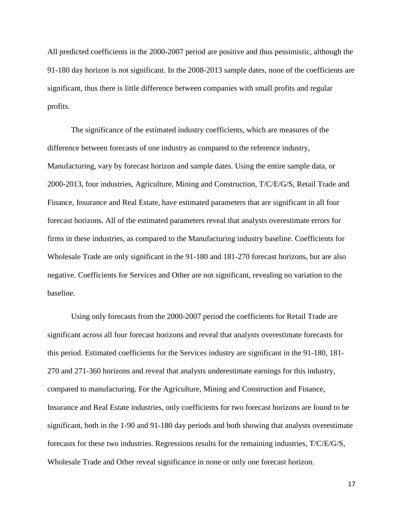All predicted coefficients in the 2000-2007 period are positive and thus pessimistic, although the 91-180 day horizon is not significant. In the 2008-2013 sample dates, none of the coefficients are significant, thus there is little difference between companies with small profits and regular profits.

The significance of the estimated industry coefficients, which are measures of the difference between forecasts of one industry as compared to the reference industry, Manufacturing, vary by forecast horizon and sample dates. Using the entire sample data, or 2000-2013, four industries, Agriculture, Mining and Construction, T/C/E/G/S, Retail Trade and Finance, Insurance and Real Estate, have estimated parameters that are significant in all four forecast horizons. All of the estimated parameters reveal that analysts overestimate errors for firms in these industries, as compared to the Manufacturing industry baseline. Coefficients for Wholesale Trade are only significant in the 91-180 and 181-270 forecast horizons, but are also negative. Coefficients for Services and Other are not significant, revealing no variation to the baseline.

Using only forecasts from the 2000-2007 period the coefficients for Retail Trade are significant across all four forecast horizons and reveal that analysts overestimate forecasts for this period. Estimated coefficients for the Services industry are significant in the 91-180, 181- 270 and 271-360 horizons and reveal that analysts underestimate earnings for this industry, compared to manufacturing. For the Agriculture, Mining and Construction and Finance, Insurance and Real Estate industries, only coefficients for two forecast horizons are found to be significant, both in the 1-90 and 91-180 day periods and both showing that analysts overestimate forecasts for these two industries. Regressions results for the remaining industries, T/C/E/G/S, Wholesale Trade and Other reveal significance in none or only one forecast horizon.

17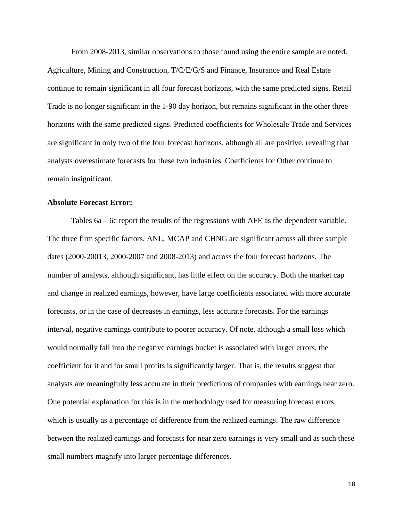From 2008-2013, similar observations to those found using the entire sample are noted. Agriculture, Mining and Construction, T/C/E/G/S and Finance, Insurance and Real Estate continue to remain significant in all four forecast horizons, with the same predicted signs. Retail Trade is no longer significant in the 1-90 day horizon, but remains significant in the other three horizons with the same predicted signs. Predicted coefficients for Wholesale Trade and Services are significant in only two of the four forecast horizons, although all are positive, revealing that analysts overestimate forecasts for these two industries. Coefficients for Other continue to remain insignificant.

# **Absolute Forecast Error:**

Tables 6a – 6c report the results of the regressions with AFE as the dependent variable. The three firm specific factors, ANL, MCAP and CHNG are significant across all three sample dates (2000-20013, 2000-2007 and 2008-2013) and across the four forecast horizons. The number of analysts, although significant, has little effect on the accuracy. Both the market cap and change in realized earnings, however, have large coefficients associated with more accurate forecasts, or in the case of decreases in earnings, less accurate forecasts. For the earnings interval, negative earnings contribute to poorer accuracy. Of note, although a small loss which would normally fall into the negative earnings bucket is associated with larger errors, the coefficient for it and for small profits is significantly larger. That is, the results suggest that analysts are meaningfully less accurate in their predictions of companies with earnings near zero. One potential explanation for this is in the methodology used for measuring forecast errors, which is usually as a percentage of difference from the realized earnings. The raw difference between the realized earnings and forecasts for near zero earnings is very small and as such these small numbers magnify into larger percentage differences.

18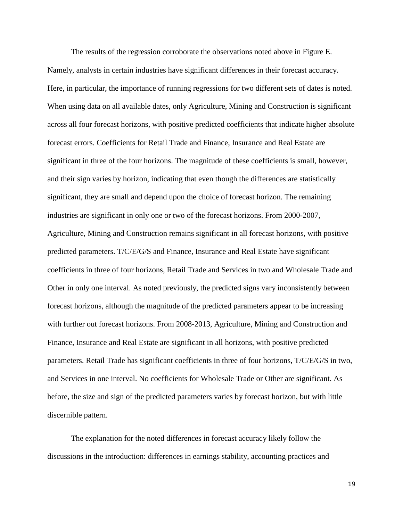The results of the regression corroborate the observations noted above in Figure E. Namely, analysts in certain industries have significant differences in their forecast accuracy. Here, in particular, the importance of running regressions for two different sets of dates is noted. When using data on all available dates, only Agriculture, Mining and Construction is significant across all four forecast horizons, with positive predicted coefficients that indicate higher absolute forecast errors. Coefficients for Retail Trade and Finance, Insurance and Real Estate are significant in three of the four horizons. The magnitude of these coefficients is small, however, and their sign varies by horizon, indicating that even though the differences are statistically significant, they are small and depend upon the choice of forecast horizon. The remaining industries are significant in only one or two of the forecast horizons. From 2000-2007, Agriculture, Mining and Construction remains significant in all forecast horizons, with positive predicted parameters. T/C/E/G/S and Finance, Insurance and Real Estate have significant coefficients in three of four horizons, Retail Trade and Services in two and Wholesale Trade and Other in only one interval. As noted previously, the predicted signs vary inconsistently between forecast horizons, although the magnitude of the predicted parameters appear to be increasing with further out forecast horizons. From 2008-2013, Agriculture, Mining and Construction and Finance, Insurance and Real Estate are significant in all horizons, with positive predicted parameters. Retail Trade has significant coefficients in three of four horizons, T/C/E/G/S in two, and Services in one interval. No coefficients for Wholesale Trade or Other are significant. As before, the size and sign of the predicted parameters varies by forecast horizon, but with little discernible pattern.

The explanation for the noted differences in forecast accuracy likely follow the discussions in the introduction: differences in earnings stability, accounting practices and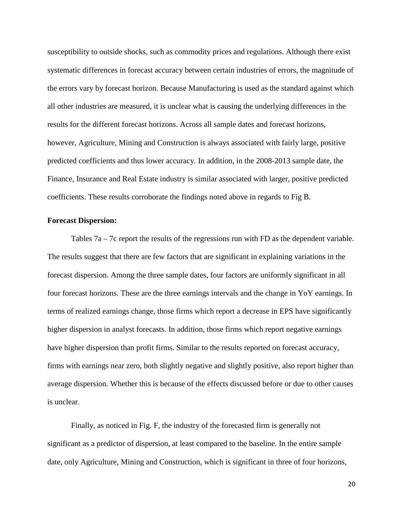susceptibility to outside shocks, such as commodity prices and regulations. Although there exist systematic differences in forecast accuracy between certain industries of errors, the magnitude of the errors vary by forecast horizon. Because Manufacturing is used as the standard against which all other industries are measured, it is unclear what is causing the underlying differences in the results for the different forecast horizons. Across all sample dates and forecast horizons, however, Agriculture, Mining and Construction is always associated with fairly large, positive predicted coefficients and thus lower accuracy. In addition, in the 2008-2013 sample date, the Finance, Insurance and Real Estate industry is similar associated with larger, positive predicted coefficients. These results corroborate the findings noted above in regards to Fig B.

#### **Forecast Dispersion:**

Tables  $7a - 7c$  report the results of the regressions run with FD as the dependent variable. The results suggest that there are few factors that are significant in explaining variations in the forecast dispersion. Among the three sample dates, four factors are uniformly significant in all four forecast horizons. These are the three earnings intervals and the change in YoY earnings. In terms of realized earnings change, those firms which report a decrease in EPS have significantly higher dispersion in analyst forecasts. In addition, those firms which report negative earnings have higher dispersion than profit firms. Similar to the results reported on forecast accuracy, firms with earnings near zero, both slightly negative and slightly positive, also report higher than average dispersion. Whether this is because of the effects discussed before or due to other causes is unclear.

Finally, as noticed in Fig. F, the industry of the forecasted firm is generally not significant as a predictor of dispersion, at least compared to the baseline. In the entire sample date, only Agriculture, Mining and Construction, which is significant in three of four horizons,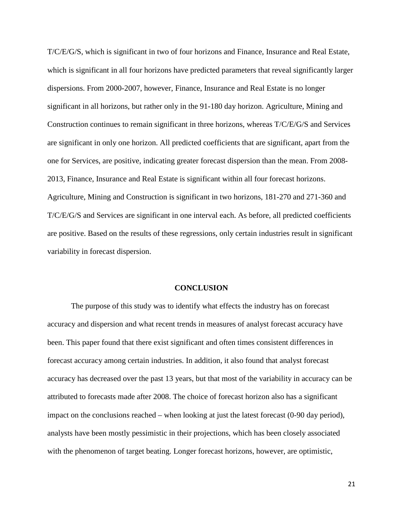T/C/E/G/S, which is significant in two of four horizons and Finance, Insurance and Real Estate, which is significant in all four horizons have predicted parameters that reveal significantly larger dispersions. From 2000-2007, however, Finance, Insurance and Real Estate is no longer significant in all horizons, but rather only in the 91-180 day horizon. Agriculture, Mining and Construction continues to remain significant in three horizons, whereas T/C/E/G/S and Services are significant in only one horizon. All predicted coefficients that are significant, apart from the one for Services, are positive, indicating greater forecast dispersion than the mean. From 2008- 2013, Finance, Insurance and Real Estate is significant within all four forecast horizons. Agriculture, Mining and Construction is significant in two horizons, 181-270 and 271-360 and T/C/E/G/S and Services are significant in one interval each. As before, all predicted coefficients are positive. Based on the results of these regressions, only certain industries result in significant variability in forecast dispersion.

#### **CONCLUSION**

The purpose of this study was to identify what effects the industry has on forecast accuracy and dispersion and what recent trends in measures of analyst forecast accuracy have been. This paper found that there exist significant and often times consistent differences in forecast accuracy among certain industries. In addition, it also found that analyst forecast accuracy has decreased over the past 13 years, but that most of the variability in accuracy can be attributed to forecasts made after 2008. The choice of forecast horizon also has a significant impact on the conclusions reached – when looking at just the latest forecast (0-90 day period), analysts have been mostly pessimistic in their projections, which has been closely associated with the phenomenon of target beating. Longer forecast horizons, however, are optimistic,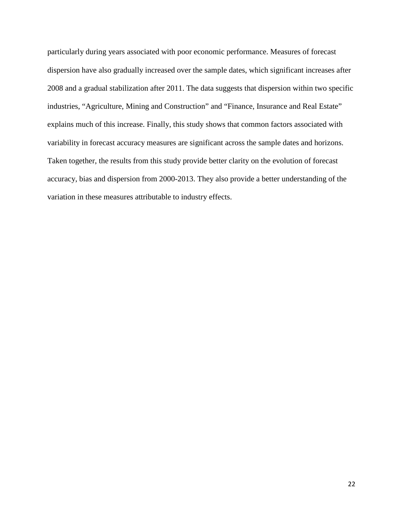particularly during years associated with poor economic performance. Measures of forecast dispersion have also gradually increased over the sample dates, which significant increases after 2008 and a gradual stabilization after 2011. The data suggests that dispersion within two specific industries, "Agriculture, Mining and Construction" and "Finance, Insurance and Real Estate" explains much of this increase. Finally, this study shows that common factors associated with variability in forecast accuracy measures are significant across the sample dates and horizons. Taken together, the results from this study provide better clarity on the evolution of forecast accuracy, bias and dispersion from 2000-2013. They also provide a better understanding of the variation in these measures attributable to industry effects.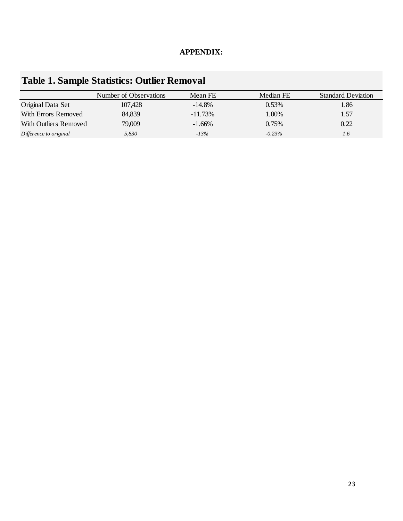# **APPENDIX:**

|                        | Number of Observations | Mean FE   | Median FE | <b>Standard Deviation</b> |
|------------------------|------------------------|-----------|-----------|---------------------------|
| Original Data Set      | 107,428                | $-14.8\%$ | 0.53%     | 1.86                      |
| With Errors Removed    | 84,839                 | $-11.73%$ | 1.00%     | 1.57                      |
| With Outliers Removed  | 79,009                 | $-1.66\%$ | 0.75%     | 0.22                      |
| Difference to original | 5,830                  | $-13%$    | $-0.23%$  | 1.6                       |

# **Table 1. Sample Statistics: Outlier Removal**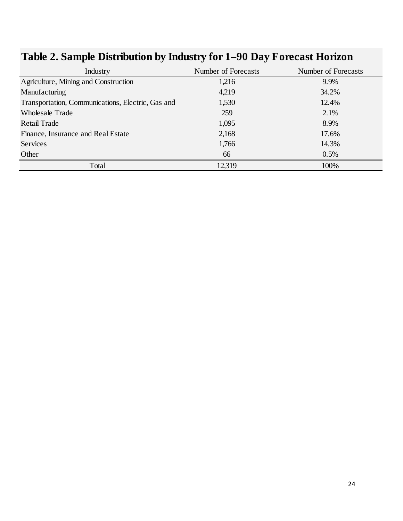| Industry                                          | Number of Forecasts | Number of Forecasts |
|---------------------------------------------------|---------------------|---------------------|
| Agriculture, Mining and Construction              | 1,216               | 9.9%                |
| Manufacturing                                     | 4,219               | 34.2%               |
| Transportation, Communications, Electric, Gas and | 1,530               | 12.4%               |
| <b>Wholesale Trade</b>                            | 259                 | 2.1%                |
| Retail Trade                                      | 1,095               | 8.9%                |
| Finance, Insurance and Real Estate                | 2,168               | 17.6%               |
| <b>Services</b>                                   | 1,766               | 14.3%               |
| Other                                             | 66                  | 0.5%                |
| Total                                             | 12,319              | 100%                |

# **Table 2. Sample Distribution by Industry for 1–90 Day Forecast Horizon**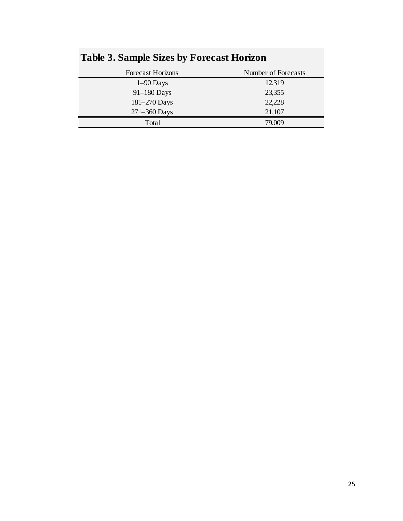| <b>Forecast Horizons</b> | Number of Forecasts |
|--------------------------|---------------------|
| $1-90$ Days              | 12,319              |
| $91-180$ Days            | 23,355              |
| 181-270 Days             | 22,228              |
| $271 - 360$ Days         | 21,107              |
| Total                    | 79,009              |

# **Table 3. Sample Sizes by Forecast Horizon**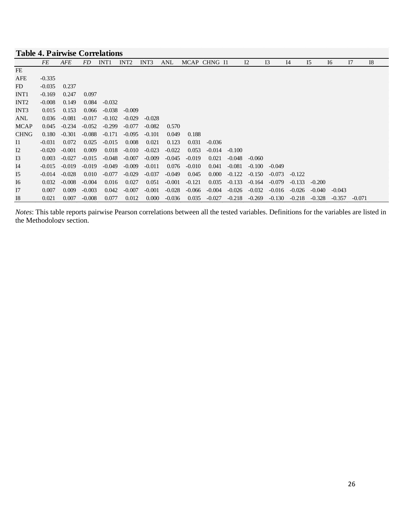| <b>Table 4. Pairwise Correlations</b> |          |            |          |                  |                  |          |          |          |              |          |          |          |          |          |          |          |           |
|---------------------------------------|----------|------------|----------|------------------|------------------|----------|----------|----------|--------------|----------|----------|----------|----------|----------|----------|----------|-----------|
|                                       | FE       | <b>AFE</b> | FD       | INT <sub>1</sub> | INT <sub>2</sub> | INT3     | ANL      |          | MCAP CHNG I1 |          | 12       | 13       | I4       | 15       | I6       | I7       | <b>I8</b> |
| FE                                    |          |            |          |                  |                  |          |          |          |              |          |          |          |          |          |          |          |           |
| AFE                                   | $-0.335$ |            |          |                  |                  |          |          |          |              |          |          |          |          |          |          |          |           |
| FD                                    | $-0.035$ | 0.237      |          |                  |                  |          |          |          |              |          |          |          |          |          |          |          |           |
| INT <sub>1</sub>                      | $-0.169$ | 0.247      | 0.097    |                  |                  |          |          |          |              |          |          |          |          |          |          |          |           |
| INT <sub>2</sub>                      | $-0.008$ | 0.149      | 0.084    | $-0.032$         |                  |          |          |          |              |          |          |          |          |          |          |          |           |
| INT3                                  | 0.015    | 0.153      | 0.066    | $-0.038$         | $-0.009$         |          |          |          |              |          |          |          |          |          |          |          |           |
| ANL                                   | 0.036    | $-0.081$   | $-0.017$ | $-0.102$         | $-0.029$         | $-0.028$ |          |          |              |          |          |          |          |          |          |          |           |
| <b>MCAP</b>                           | 0.045    | $-0.234$   | $-0.052$ | $-0.299$         | $-0.077$         | $-0.082$ | 0.570    |          |              |          |          |          |          |          |          |          |           |
| <b>CHNG</b>                           | 0.180    | $-0.301$   | $-0.088$ | $-0.171$         | $-0.095$         | $-0.101$ | 0.049    | 0.188    |              |          |          |          |          |          |          |          |           |
| $_{\rm II}$                           | $-0.031$ | 0.072      | 0.025    | $-0.015$         | 0.008            | 0.021    | 0.123    | 0.031    | $-0.036$     |          |          |          |          |          |          |          |           |
| 12                                    | $-0.020$ | $-0.001$   | 0.009    | 0.018            | $-0.010$         | $-0.023$ | $-0.022$ | 0.053    | $-0.014$     | $-0.100$ |          |          |          |          |          |          |           |
| I3                                    | 0.003    | $-0.027$   | $-0.015$ | $-0.048$         | $-0.007$         | $-0.009$ | $-0.045$ | $-0.019$ | 0.021        | $-0.048$ | $-0.060$ |          |          |          |          |          |           |
| I4                                    | $-0.015$ | $-0.019$   | $-0.019$ | $-0.049$         | $-0.009$         | $-0.011$ | 0.076    | $-0.010$ | 0.041        | $-0.081$ | $-0.100$ | $-0.049$ |          |          |          |          |           |
| 15                                    | $-0.014$ | $-0.028$   | 0.010    | $-0.077$         | $-0.029$         | $-0.037$ | $-0.049$ | 0.045    | 0.000        | $-0.122$ | $-0.150$ | $-0.073$ | $-0.122$ |          |          |          |           |
| I6                                    | 0.032    | $-0.008$   | $-0.004$ | 0.016            | 0.027            | 0.051    | $-0.001$ | $-0.121$ | 0.035        | $-0.133$ | $-0.164$ | $-0.079$ | $-0.133$ | $-0.200$ |          |          |           |
| I7                                    | 0.007    | 0.009      | $-0.003$ | 0.042            | $-0.007$         | $-0.001$ | $-0.028$ | $-0.066$ | $-0.004$     | $-0.026$ | $-0.032$ | $-0.016$ | $-0.026$ | $-0.040$ | $-0.043$ |          |           |
| <b>I8</b>                             | 0.021    | 0.007      | $-0.008$ | 0.077            | 0.012            | 0.000    | $-0.036$ | 0.035    | $-0.027$     | $-0.218$ | $-0.269$ | $-0.130$ | $-0.218$ | $-0.328$ | $-0.357$ | $-0.071$ |           |

*Notes*: This table reports pairwise Pearson correlations between all the tested variables. Definitions for the variables are listed in the Methodology section.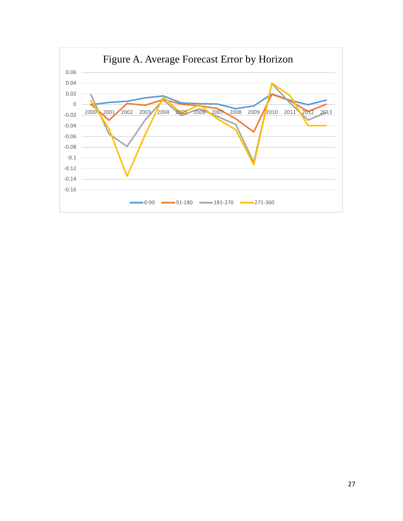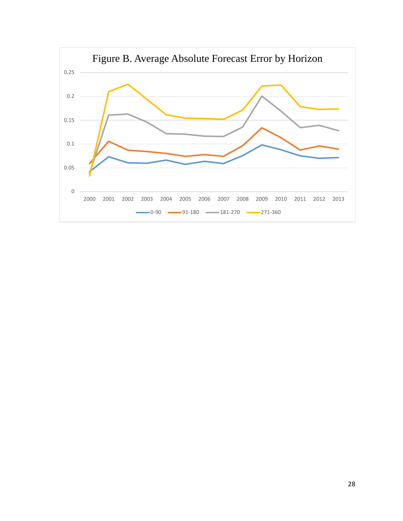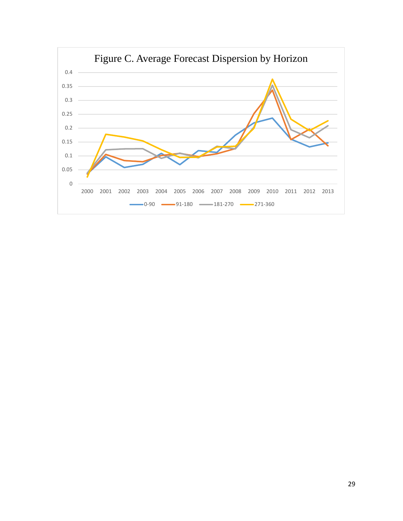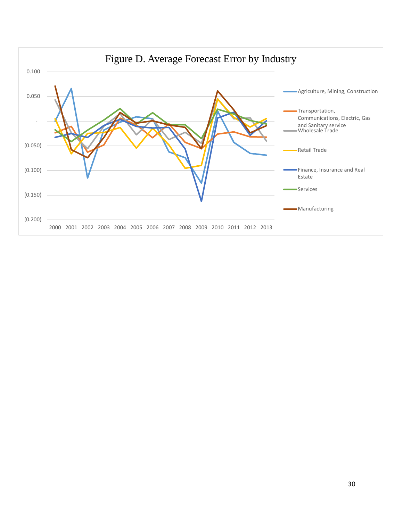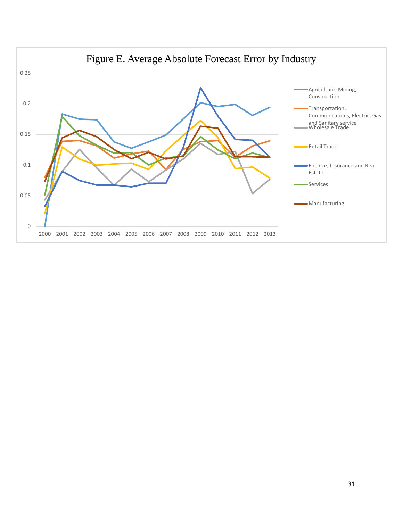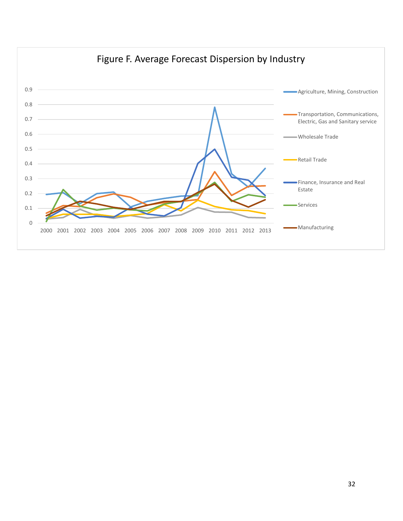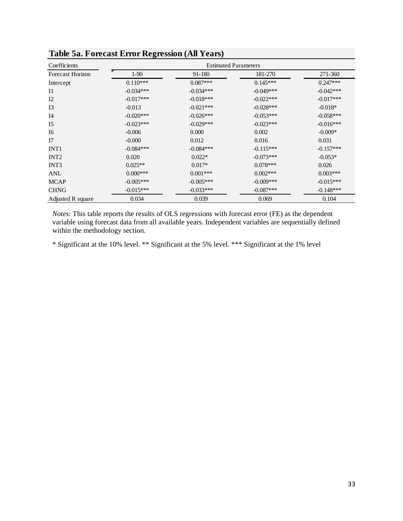| Coefficients            | Table Ja. Fulcast Efful Kegicssion (All Teals)<br><b>Estimated Parameters</b> |             |             |             |  |  |
|-------------------------|-------------------------------------------------------------------------------|-------------|-------------|-------------|--|--|
| <b>Forecast Horizon</b> | $1-90$                                                                        | 91-180      | 181-270     | 271-360     |  |  |
| Intercept               | $0.110***$                                                                    | $0.087***$  | $0.145***$  | $0.247***$  |  |  |
| $_{\rm II}$             | $-0.034***$                                                                   | $-0.034***$ | $-0.049***$ | $-0.042***$ |  |  |
| I2                      | $-0.017***$                                                                   | $-0.018***$ | $-0.022***$ | $-0.017***$ |  |  |
| I3                      | $-0.013$                                                                      | $-0.021***$ | $-0.028***$ | $-0.018*$   |  |  |
| I <sub>4</sub>          | $-0.020***$                                                                   | $-0.026***$ | $-0.053***$ | $-0.058***$ |  |  |
| I <sub>5</sub>          | $-0.023***$                                                                   | $-0.029***$ | $-0.023***$ | $-0.016***$ |  |  |
| I6                      | $-0.006$                                                                      | 0.000       | 0.002       | $-0.009*$   |  |  |
| I7                      | $-0.000$                                                                      | 0.012       | 0.016       | 0.031       |  |  |
| INT <sub>1</sub>        | $-0.084***$                                                                   | $-0.084***$ | $-0.115***$ | $-0.157***$ |  |  |
| INT <sub>2</sub>        | 0.020                                                                         | $0.022*$    | $-0.073***$ | $-0.053*$   |  |  |
| INT3                    | $0.025**$                                                                     | $0.017*$    | $0.078***$  | 0.026       |  |  |
| ANL                     | $0.000***$                                                                    | $0.001***$  | $0.002***$  | $0.003***$  |  |  |
| <b>MCAP</b>             | $-0.005***$                                                                   | $-0.005***$ | $-0.009***$ | $-0.015***$ |  |  |
| <b>CHNG</b>             | $-0.015***$                                                                   | $-0.033***$ | $-0.087***$ | $-0.148***$ |  |  |
| Adjusted R square       | 0.034                                                                         | 0.039       | 0.069       | 0.104       |  |  |

**Table 5a. Forecast Error Regression (All Years)**

*Notes*: This table reports the results of OLS regressions with forecast error (FE) as the dependent variable using forecast data from all available years. Independent variables are sequentially defined within the methodology section.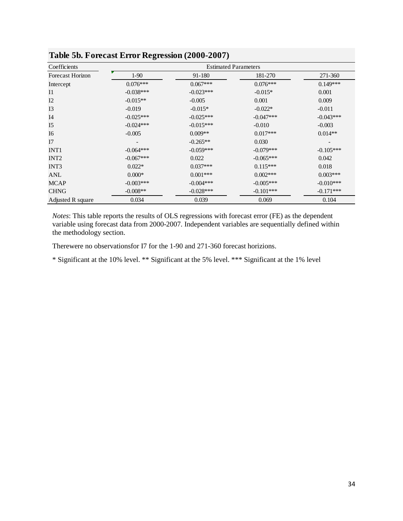| Coefficients            | <b>Estimated Parameters</b> |             |             |             |  |  |
|-------------------------|-----------------------------|-------------|-------------|-------------|--|--|
| <b>Forecast Horizon</b> | $1-90$                      | 91-180      | 181-270     | 271-360     |  |  |
| Intercept               | $0.076***$                  | $0.067***$  | $0.076***$  | $0.149***$  |  |  |
| I1                      | $-0.038***$                 | $-0.023***$ | $-0.015*$   | 0.001       |  |  |
| I2                      | $-0.015**$                  | $-0.005$    | 0.001       | 0.009       |  |  |
| I3                      | $-0.019$                    | $-0.015*$   | $-0.022*$   | $-0.011$    |  |  |
| I <sub>4</sub>          | $-0.025***$                 | $-0.025***$ | $-0.047***$ | $-0.043***$ |  |  |
| I <sub>5</sub>          | $-0.024***$                 | $-0.015***$ | $-0.010$    | $-0.003$    |  |  |
| I <sub>6</sub>          | $-0.005$                    | $0.009**$   | $0.017***$  | $0.014**$   |  |  |
| I7                      |                             | $-0.265**$  | 0.030       |             |  |  |
| INT <sub>1</sub>        | $-0.064***$                 | $-0.059***$ | $-0.079***$ | $-0.105***$ |  |  |
| INT <sub>2</sub>        | $-0.067***$                 | 0.022       | $-0.065***$ | 0.042       |  |  |
| INT <sub>3</sub>        | $0.022*$                    | $0.037***$  | $0.115***$  | 0.018       |  |  |
| ANL                     | $0.000*$                    | $0.001***$  | $0.002***$  | $0.003***$  |  |  |
| <b>MCAP</b>             | $-0.003***$                 | $-0.004***$ | $-0.005***$ | $-0.010***$ |  |  |
| <b>CHNG</b>             | $-0.008**$                  | $-0.028***$ | $-0.101***$ | $-0.171***$ |  |  |
| Adjusted R square       | 0.034                       | 0.039       | 0.069       | 0.104       |  |  |

**Table 5b. Forecast Error Regression (2000-2007)**

*Notes*: This table reports the results of OLS regressions with forecast error (FE) as the dependent variable using forecast data from 2000-2007. Independent variables are sequentially defined within the methodology section.

Therewere no observationsfor I7 for the 1-90 and 271-360 forecast horizions.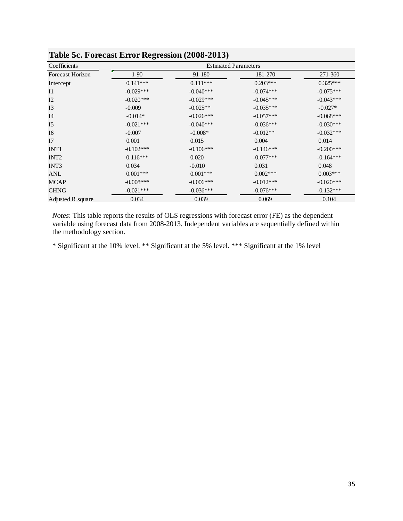| Coefficients            | <b>Estimated Parameters</b> |             |             |             |  |  |
|-------------------------|-----------------------------|-------------|-------------|-------------|--|--|
| <b>Forecast Horizon</b> | $1-90$                      | 91-180      | 181-270     | 271-360     |  |  |
| Intercept               | $0.141***$                  | $0.111***$  | $0.203***$  | $0.325***$  |  |  |
| $_{\rm II}$             | $-0.029***$                 | $-0.040***$ | $-0.074***$ | $-0.075***$ |  |  |
| I2                      | $-0.020***$                 | $-0.029***$ | $-0.045***$ | $-0.043***$ |  |  |
| I3                      | $-0.009$                    | $-0.025**$  | $-0.035***$ | $-0.027*$   |  |  |
| I <sub>4</sub>          | $-0.014*$                   | $-0.026***$ | $-0.057***$ | $-0.068***$ |  |  |
| I <sub>5</sub>          | $-0.021***$                 | $-0.040***$ | $-0.036***$ | $-0.030***$ |  |  |
| I6                      | $-0.007$                    | $-0.008*$   | $-0.012**$  | $-0.032***$ |  |  |
| I7                      | 0.001                       | 0.015       | 0.004       | 0.014       |  |  |
| INT <sub>1</sub>        | $-0.102***$                 | $-0.106***$ | $-0.146***$ | $-0.200***$ |  |  |
| INT <sub>2</sub>        | $0.116***$                  | 0.020       | $-0.077***$ | $-0.164***$ |  |  |
| INT3                    | 0.034                       | $-0.010$    | 0.031       | 0.048       |  |  |
| ANL                     | $0.001***$                  | $0.001***$  | $0.002***$  | $0.003***$  |  |  |
| <b>MCAP</b>             | $-0.008***$                 | $-0.006***$ | $-0.012***$ | $-0.020***$ |  |  |
| <b>CHNG</b>             | $-0.021***$                 | $-0.036***$ | $-0.076***$ | $-0.132***$ |  |  |
| Adjusted R square       | 0.034                       | 0.039       | 0.069       | 0.104       |  |  |

**Table 5c. Forecast Error Regression (2008-2013)**

*Notes*: This table reports the results of OLS regressions with forecast error (FE) as the dependent variable using forecast data from 2008-2013. Independent variables are sequentially defined within the methodology section.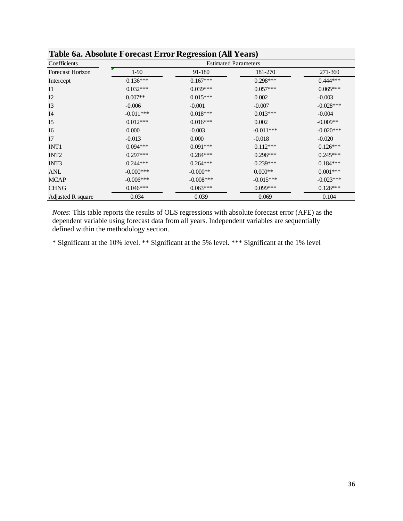| Table one <i>Absolute</i> I offers Ellof Regression (All Teats)<br>Coefficients | <b>Estimated Parameters</b> |             |             |             |  |  |  |
|---------------------------------------------------------------------------------|-----------------------------|-------------|-------------|-------------|--|--|--|
| Forecast Horizon                                                                | $1-90$                      | 91-180      | 181-270     | 271-360     |  |  |  |
| Intercept                                                                       | $0.136***$                  | $0.167***$  | $0.298***$  | $0.444***$  |  |  |  |
| I <sub>1</sub>                                                                  | $0.032***$                  | $0.039***$  | $0.057***$  | $0.065***$  |  |  |  |
| I2                                                                              | $0.007**$                   | $0.015***$  | 0.002       | $-0.003$    |  |  |  |
| I3                                                                              | $-0.006$                    | $-0.001$    | $-0.007$    | $-0.028***$ |  |  |  |
| I4                                                                              | $-0.011***$                 | $0.018***$  | $0.013***$  | $-0.004$    |  |  |  |
| I <sub>5</sub>                                                                  | $0.012***$                  | $0.016***$  | 0.002       | $-0.009**$  |  |  |  |
| I6                                                                              | 0.000                       | $-0.003$    | $-0.011***$ | $-0.020***$ |  |  |  |
| I7                                                                              | $-0.013$                    | 0.000       | $-0.018$    | $-0.020$    |  |  |  |
| INT <sub>1</sub>                                                                | $0.094***$                  | $0.091***$  | $0.112***$  | $0.126***$  |  |  |  |
| INT <sub>2</sub>                                                                | $0.297***$                  | $0.284***$  | $0.296***$  | $0.245***$  |  |  |  |
| INT3                                                                            | $0.244***$                  | $0.264***$  | $0.239***$  | $0.184***$  |  |  |  |
| ANL                                                                             | $-0.000***$                 | $-0.000**$  | $0.000**$   | $0.001***$  |  |  |  |
| <b>MCAP</b>                                                                     | $-0.006***$                 | $-0.008***$ | $-0.015***$ | $-0.023***$ |  |  |  |
| <b>CHNG</b>                                                                     | $0.046***$                  | $0.063***$  | $0.099***$  | $0.126***$  |  |  |  |
| Adjusted R square                                                               | 0.034                       | 0.039       | 0.069       | 0.104       |  |  |  |

**Table 6a. Absolute Forecast Error Regression (All Years)**

*Notes*: This table reports the results of OLS regressions with absolute forecast error (AFE) as the dependent variable using forecast data from all years. Independent variables are sequentially defined within the methodology section.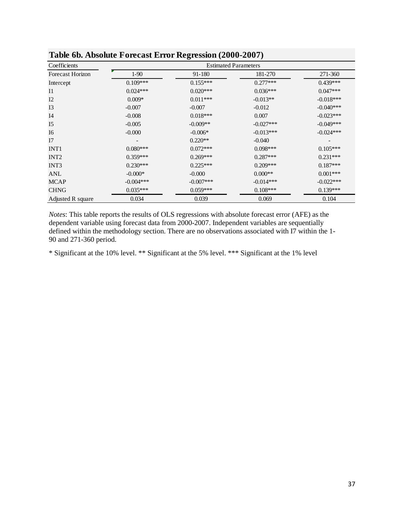| Coefficients            | <b>Estimated Parameters</b> |             |             |             |  |  |
|-------------------------|-----------------------------|-------------|-------------|-------------|--|--|
| <b>Forecast Horizon</b> | $1-90$                      | 91-180      | 181-270     | 271-360     |  |  |
| Intercept               | $0.109***$                  | $0.155***$  | $0.277***$  | $0.439***$  |  |  |
| I <sub>1</sub>          | $0.024***$                  | $0.020***$  | $0.036***$  | $0.047***$  |  |  |
| I2                      | $0.009*$                    | $0.011***$  | $-0.013**$  | $-0.018***$ |  |  |
| I3                      | $-0.007$                    | $-0.007$    | $-0.012$    | $-0.040***$ |  |  |
| I4                      | $-0.008$                    | $0.018***$  | 0.007       | $-0.023***$ |  |  |
| I <sub>5</sub>          | $-0.005$                    | $-0.009**$  | $-0.027***$ | $-0.049***$ |  |  |
| I <sub>6</sub>          | $-0.000$                    | $-0.006*$   | $-0.013***$ | $-0.024***$ |  |  |
| I7                      |                             | $0.220**$   | $-0.040$    |             |  |  |
| INT <sub>1</sub>        | $0.080***$                  | $0.072***$  | $0.098***$  | $0.105***$  |  |  |
| INT <sub>2</sub>        | $0.359***$                  | $0.269***$  | $0.287***$  | $0.231***$  |  |  |
| INT <sub>3</sub>        | $0.230***$                  | $0.225***$  | $0.209***$  | $0.187***$  |  |  |
| <b>ANL</b>              | $-0.000*$                   | $-0.000$    | $0.000**$   | $0.001***$  |  |  |
| <b>MCAP</b>             | $-0.004***$                 | $-0.007***$ | $-0.014***$ | $-0.022***$ |  |  |
| <b>CHNG</b>             | $0.035***$                  | $0.059***$  | $0.108***$  | $0.139***$  |  |  |
| Adjusted R square       | 0.034                       | 0.039       | 0.069       | 0.104       |  |  |

*Notes*: This table reports the results of OLS regressions with absolute forecast error (AFE) as the dependent variable using forecast data from 2000-2007. Independent variables are sequentially defined within the methodology section. There are no observations associated with I7 within the 1- 90 and 271-360 period.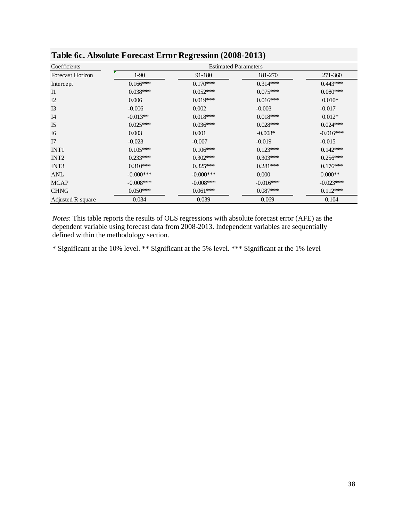| Coefficients            | ပ<br><b>Estimated Parameters</b> |             |             |             |  |
|-------------------------|----------------------------------|-------------|-------------|-------------|--|
| <b>Forecast Horizon</b> | $1-90$                           | 91-180      | 181-270     | 271-360     |  |
| Intercept               | $0.166***$                       | $0.170***$  | $0.314***$  | $0.443***$  |  |
| I <sub>1</sub>          | $0.038***$                       | $0.052***$  | $0.075***$  | $0.080***$  |  |
| I2                      | 0.006                            | $0.019***$  | $0.016***$  | $0.010*$    |  |
| I3                      | $-0.006$                         | 0.002       | $-0.003$    | $-0.017$    |  |
| I <sub>4</sub>          | $-0.013**$                       | $0.018***$  | $0.018***$  | $0.012*$    |  |
| I <sub>5</sub>          | $0.025***$                       | $0.036***$  | $0.028***$  | $0.024***$  |  |
| I6                      | 0.003                            | 0.001       | $-0.008*$   | $-0.016***$ |  |
| I7                      | $-0.023$                         | $-0.007$    | $-0.019$    | $-0.015$    |  |
| INT <sub>1</sub>        | $0.105***$                       | $0.106***$  | $0.123***$  | $0.142***$  |  |
| INT <sub>2</sub>        | $0.233***$                       | $0.302***$  | $0.303***$  | $0.256***$  |  |
| INT3                    | $0.310***$                       | $0.325***$  | $0.281***$  | $0.176***$  |  |
| ANL                     | $-0.000***$                      | $-0.000***$ | 0.000       | $0.000**$   |  |
| <b>MCAP</b>             | $-0.008***$                      | $-0.008***$ | $-0.016***$ | $-0.023***$ |  |
| <b>CHNG</b>             | $0.050***$                       | $0.061***$  | $0.087***$  | $0.112***$  |  |
| Adjusted R square       | 0.034                            | 0.039       | 0.069       | 0.104       |  |

**Table 6c. Absolute Forecast Error Regression (2008-2013)**

*Notes*: This table reports the results of OLS regressions with absolute forecast error (AFE) as the dependent variable using forecast data from 2008-2013. Independent variables are sequentially defined within the methodology section.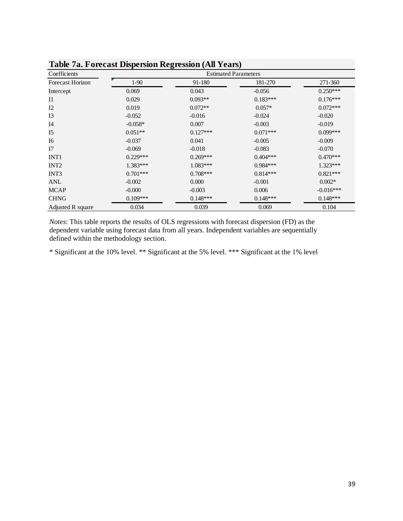| Table 7a. Forecast Dispersion Regression (All Years) |                             |            |            |             |  |  |  |
|------------------------------------------------------|-----------------------------|------------|------------|-------------|--|--|--|
| Coefficients                                         | <b>Estimated Parameters</b> |            |            |             |  |  |  |
| <b>Forecast Horizon</b>                              | $1-90$                      | 91-180     | 181-270    | 271-360     |  |  |  |
| Intercept                                            | 0.069                       | 0.043      | $-0.056$   | $0.250***$  |  |  |  |
| I <sub>1</sub>                                       | 0.029                       | $0.093**$  | $0.183***$ | $0.176***$  |  |  |  |
| I2                                                   | 0.019                       | $0.072**$  | $0.057*$   | $0.072***$  |  |  |  |
| I <sub>3</sub>                                       | $-0.052$                    | $-0.016$   | $-0.024$   | $-0.020$    |  |  |  |
| I <sub>4</sub>                                       | $-0.058*$                   | 0.007      | $-0.003$   | $-0.019$    |  |  |  |
| I <sub>5</sub>                                       | $0.051**$                   | $0.127***$ | $0.071***$ | $0.099***$  |  |  |  |
| I6                                                   | $-0.037$                    | 0.041      | $-0.005$   | $-0.009$    |  |  |  |
| I7                                                   | $-0.069$                    | $-0.018$   | $-0.083$   | $-0.070$    |  |  |  |
| INT <sub>1</sub>                                     | $0.229***$                  | $0.269***$ | $0.404***$ | $0.470***$  |  |  |  |
| INT <sub>2</sub>                                     | $1.383***$                  | $1.083***$ | $0.984***$ | $1.323***$  |  |  |  |
| INT3                                                 | $0.701***$                  | $0.708***$ | $0.814***$ | $0.821***$  |  |  |  |
| ANL                                                  | $-0.002$                    | 0.000      | $-0.001$   | $0.002*$    |  |  |  |
| <b>MCAP</b>                                          | $-0.000$                    | $-0.003$   | 0.006      | $-0.016***$ |  |  |  |
| <b>CHNG</b>                                          | $0.109***$                  | $0.148***$ | $0.148***$ | $0.148***$  |  |  |  |
| Adjusted R square                                    | 0.034                       | 0.039      | 0.069      | 0.104       |  |  |  |

**Table 7a. Forecast Dispersion Regression (All Years)**

*Notes*: This table reports the results of OLS regressions with forecast dispersion (FD) as the dependent variable using forecast data from all years. Independent variables are sequentially defined within the methodology section.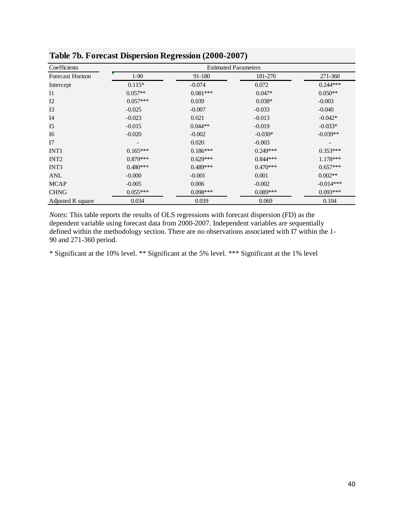|                         | л.                          | ິ          |            |             |  |
|-------------------------|-----------------------------|------------|------------|-------------|--|
| Coefficients            | <b>Estimated Parameters</b> |            |            |             |  |
| <b>Forecast Horizon</b> | $1-90$                      | 91-180     | 181-270    | 271-360     |  |
| Intercept               | $0.115*$                    | $-0.074$   | 0.072      | $0.244***$  |  |
| $_{\rm II}$             | $0.057**$                   | $0.081***$ | $0.047*$   | $0.050**$   |  |
| I2                      | $0.057***$                  | 0.039      | $0.038*$   | $-0.003$    |  |
| I3                      | $-0.025$                    | $-0.007$   | $-0.033$   | $-0.040$    |  |
| I4                      | $-0.023$                    | 0.021      | $-0.013$   | $-0.042*$   |  |
| I <sub>5</sub>          | $-0.015$                    | $0.044**$  | $-0.019$   | $-0.033*$   |  |
| I <sub>6</sub>          | $-0.020$                    | $-0.002$   | $-0.030*$  | $-0.039**$  |  |
| I7                      |                             | 0.020      | $-0.003$   |             |  |
| INT <sub>1</sub>        | $0.165***$                  | $0.186***$ | $0.249***$ | $0.353***$  |  |
| INT <sub>2</sub>        | $0.879***$                  | $0.629***$ | $0.844***$ | $1.178***$  |  |
| INT3                    | $0.480***$                  | $0.489***$ | $0.470***$ | $0.657***$  |  |
| ANL                     | $-0.000$                    | $-0.001$   | 0.001      | $0.002**$   |  |
| <b>MCAP</b>             | $-0.005$                    | 0.006      | $-0.002$   | $-0.014***$ |  |
| <b>CHNG</b>             | $0.055***$                  | $0.098***$ | $0.089***$ | $0.093***$  |  |
| Adjusted R square       | 0.034                       | 0.039      | 0.069      | 0.104       |  |

**Table 7b. Forecast Dispersion Regression (2000-2007)**

*Notes*: This table reports the results of OLS regressions with forecast dispersion (FD) as the dependent variable using forecast data from 2000-2007. Independent variables are sequentially defined within the methodology section. There are no observations associated with I7 within the 1- 90 and 271-360 period.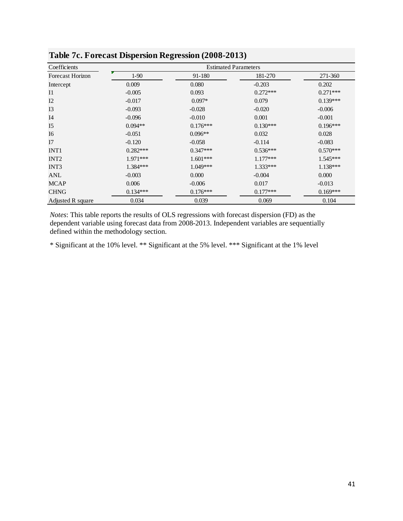| ΞГ.<br>ਤ<br>$-7$        |                             |            |            |            |  |  |
|-------------------------|-----------------------------|------------|------------|------------|--|--|
| Coefficients            | <b>Estimated Parameters</b> |            |            |            |  |  |
| <b>Forecast Horizon</b> | $1-90$                      | 91-180     | 181-270    | 271-360    |  |  |
| Intercept               | 0.009                       | 0.080      | $-0.203$   | 0.202      |  |  |
| I <sub>1</sub>          | $-0.005$                    | 0.093      | $0.272***$ | $0.271***$ |  |  |
| I2                      | $-0.017$                    | $0.097*$   | 0.079      | $0.139***$ |  |  |
| I3                      | $-0.093$                    | $-0.028$   | $-0.020$   | $-0.006$   |  |  |
| I <sub>4</sub>          | $-0.096$                    | $-0.010$   | 0.001      | $-0.001$   |  |  |
| I <sub>5</sub>          | $0.094**$                   | $0.176***$ | $0.130***$ | $0.196***$ |  |  |
| I <sub>6</sub>          | $-0.051$                    | $0.096**$  | 0.032      | 0.028      |  |  |
| I7                      | $-0.120$                    | $-0.058$   | $-0.114$   | $-0.083$   |  |  |
| INT <sub>1</sub>        | $0.282***$                  | $0.347***$ | $0.536***$ | $0.570***$ |  |  |
| INT <sub>2</sub>        | 1.971***                    | $1.601***$ | $1.177***$ | $1.545***$ |  |  |
| INT3                    | $1.384***$                  | $1.049***$ | $1.333***$ | $1.138***$ |  |  |
| ANL                     | $-0.003$                    | 0.000      | $-0.004$   | 0.000      |  |  |
| <b>MCAP</b>             | 0.006                       | $-0.006$   | 0.017      | $-0.013$   |  |  |
| <b>CHNG</b>             | $0.134***$                  | $0.176***$ | $0.177***$ | $0.169***$ |  |  |
| Adjusted R square       | 0.034                       | 0.039      | 0.069      | 0.104      |  |  |

**Table 7c. Forecast Dispersion Regression (2008-2013)**

*Notes*: This table reports the results of OLS regressions with forecast dispersion (FD) as the dependent variable using forecast data from 2008-2013. Independent variables are sequentially defined within the methodology section.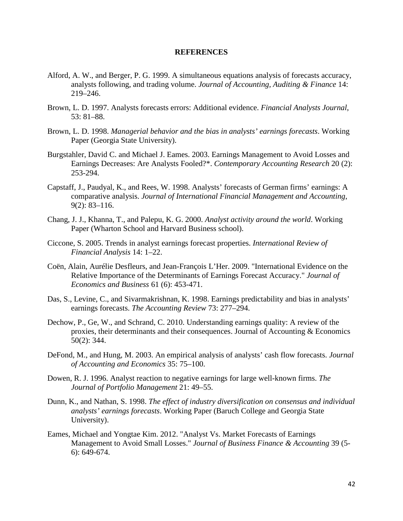#### **REFERENCES**

- Alford, A. W., and Berger, P. G. 1999. A simultaneous equations analysis of forecasts accuracy, analysts following, and trading volume. *Journal of Accounting, Auditing & Finance* 14: 219–246.
- Brown, L. D. 1997. Analysts forecasts errors: Additional evidence. *Financial Analysts Journal*, 53: 81–88.
- Brown, L. D. 1998. *Managerial behavior and the bias in analysts' earnings forecasts*. Working Paper (Georgia State University).
- Burgstahler, David C. and Michael J. Eames. 2003. Earnings Management to Avoid Losses and Earnings Decreases: Are Analysts Fooled?\*. *Contemporary Accounting Research* 20 (2): 253-294.
- Capstaff, J., Paudyal, K., and Rees, W. 1998. Analysts' forecasts of German firms' earnings: A comparative analysis. *Journal of International Financial Management and Accounting*, 9(2): 83–116.
- Chang, J. J., Khanna, T., and Palepu, K. G. 2000. *Analyst activity around the world*. Working Paper (Wharton School and Harvard Business school).
- Ciccone, S. 2005. Trends in analyst earnings forecast properties. *International Review of Financial Analysis* 14: 1–22.
- Coën, Alain, Aurélie Desfleurs, and Jean-François L'Her. 2009. "International Evidence on the Relative Importance of the Determinants of Earnings Forecast Accuracy." *Journal of Economics and Business* 61 (6): 453-471.
- Das, S., Levine, C., and Sivarmakrishnan, K. 1998. Earnings predictability and bias in analysts' earnings forecasts. *The Accounting Review* 73: 277–294.
- Dechow, P., Ge, W., and Schrand, C. 2010. Understanding earnings quality: A review of the proxies, their determinants and their consequences. Journal of Accounting & Economics 50(2): 344.
- DeFond, M., and Hung, M. 2003. An empirical analysis of analysts' cash flow forecasts. *Journal of Accounting and Economics* 35: 75–100.
- Dowen, R. J. 1996. Analyst reaction to negative earnings for large well-known firms. *The Journal of Portfolio Management* 21: 49–55.
- Dunn, K., and Nathan, S. 1998. *The effect of industry diversification on consensus and individual analysts' earnings forecasts*. Working Paper (Baruch College and Georgia State University).
- Eames, Michael and Yongtae Kim. 2012. "Analyst Vs. Market Forecasts of Earnings Management to Avoid Small Losses." *Journal of Business Finance & Accounting* 39 (5- 6): 649-674.